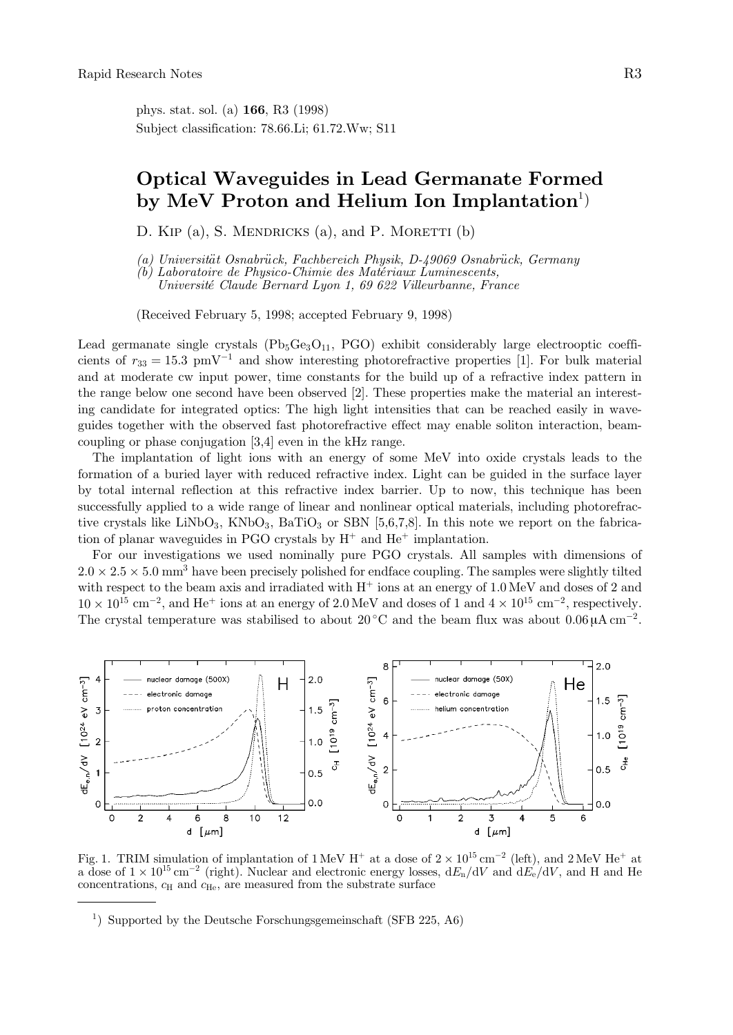phys. stat. sol. (a) 166, R3 (1998) Subject classification: 78.66.Li; 61.72.Ww; S11

## Optical Waveguides in Lead Germanate Formed by MeV Proton and Helium Ion Implantation<sup>1</sup>)

D. KIP  $(a)$ , S. MENDRICKS  $(a)$ , and P. MORETTI  $(b)$ 

(a) Universitat Osnabruck, Fachbereich Physik, D-49069 Osnabruck, Germany

(b) Laboratoire de Physico-Chimie des Materiaux Luminescents,

Universite Claude Bernard Lyon 1, 69 622 Villeurbanne, France

(Received February 5, 1998; accepted February 9, 1998)

Lead germanate single crystals  $(Pb_5Ge_3O_{11}, PQO)$  exhibit considerably large electrooptic coefficients of  $r_{33} = 15.3$  pmV<sup>-1</sup> and show interesting photorefractive properties [1]. For bulk material and at moderate cw input power, time constants for the build up of a refractive index pattern in the range below one second have been observed [2]. These properties make the material an interesting candidate for integrated optics: The high light intensities that can be reached easily in waveguides together with the observed fast photorefractive effect may enable soliton interaction, beamcoupling or phase conjugation [3,4] even in the kHz range.

The implantation of light ions with an energy of some MeV into oxide crystals leads to the formation of a buried layer with reduced refractive index. Light can be guided in the surface layer by total internal reflection at this refractive index barrier. Up to now, this technique has been successfully applied to a wide range of linear and nonlinear optical materials, including photorefractive crystals like LiNbO<sub>3</sub>, KNbO<sub>3</sub>, BaTiO<sub>3</sub> or SBN [5,6,7,8]. In this note we report on the fabrication of planar waveguides in PGO crystals by  $H^+$  and  $He^+$  implantation.

For our investigations we used nominally pure PGO crystals. All samples with dimensions of  $2.0 \times 2.5 \times 5.0$  mm<sup>3</sup> have been precisely polished for endface coupling. The samples were slightly tilted with respect to the beam axis and irradiated with  $H<sup>+</sup>$  ions at an energy of 1.0 MeV and doses of 2 and  $10 \times 10^{15} \text{ cm}^{-2}$ , and He<sup>+</sup> ions at an energy of 2.0 MeV and doses of 1 and  $4 \times 10^{15} \text{ cm}^{-2}$ , respectively. The crystal temperature was stabilised to about 20 °C and the beam flux was about  $0.06 \mu A \text{ cm}^{-2}$ .



Fig. 1. TRIM simulation of implantation of 1 MeV  $H^+$  at a dose of  $2 \times 10^{15}$  cm<sup>-2</sup> (left), and  $2 \text{ MeV He}^+$  at a dose of  $1 \times 10^{15}$  cm<sup>-2</sup> (right). Nuclear and electronic energy losses,  $dE_n/dV$  and  $dE_e/dV$ , and H and He concentrations,  $c_H$  and  $c_{He}$ , are measured from the substrate surface

 $1)$  Supported by the Deutsche Forschungsgemeinschaft (SFB 225, A6)